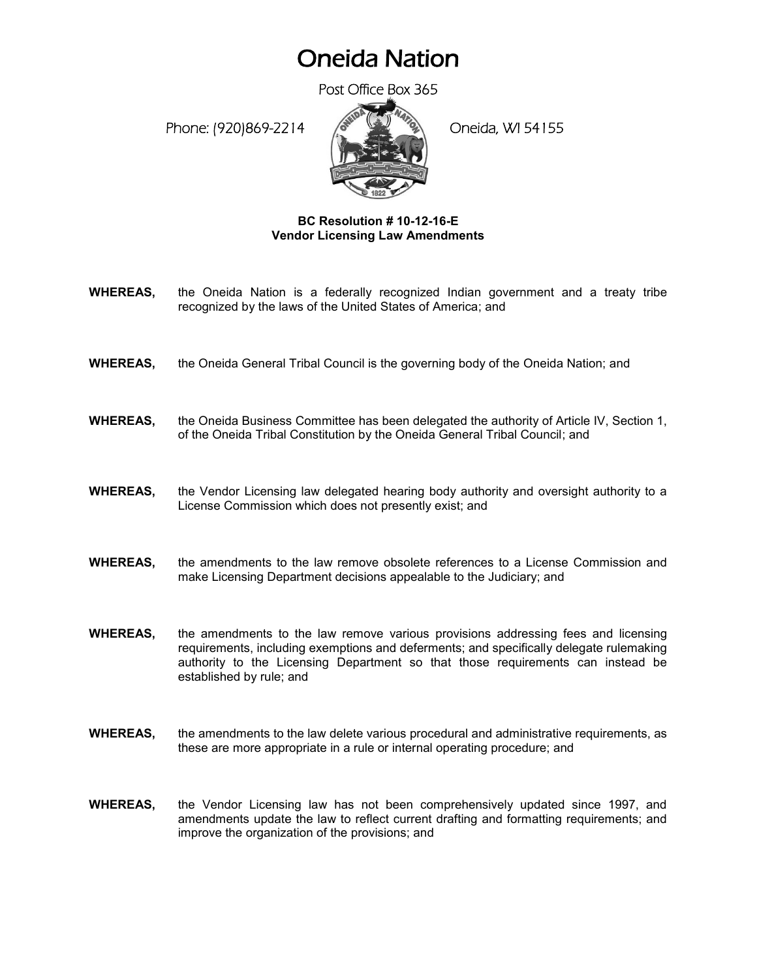## Oneida Nation

Post Office Box 365

Phone: (920)869-2214 (8 April 20 Oneida, WI 54155



## **BC Resolution # 10-12-16-E Vendor Licensing Law Amendments**

- **WHEREAS,** the Oneida Nation is a federally recognized Indian government and a treaty tribe recognized by the laws of the United States of America; and
- **WHEREAS,** the Oneida General Tribal Council is the governing body of the Oneida Nation; and
- **WHEREAS,** the Oneida Business Committee has been delegated the authority of Article IV, Section 1, of the Oneida Tribal Constitution by the Oneida General Tribal Council; and
- **WHEREAS,** the Vendor Licensing law delegated hearing body authority and oversight authority to a License Commission which does not presently exist; and
- **WHEREAS,** the amendments to the law remove obsolete references to a License Commission and make Licensing Department decisions appealable to the Judiciary; and
- **WHEREAS,** the amendments to the law remove various provisions addressing fees and licensing requirements, including exemptions and deferments; and specifically delegate rulemaking authority to the Licensing Department so that those requirements can instead be established by rule; and
- **WHEREAS,** the amendments to the law delete various procedural and administrative requirements, as these are more appropriate in a rule or internal operating procedure; and
- **WHEREAS,** the Vendor Licensing law has not been comprehensively updated since 1997, and amendments update the law to reflect current drafting and formatting requirements; and improve the organization of the provisions; and